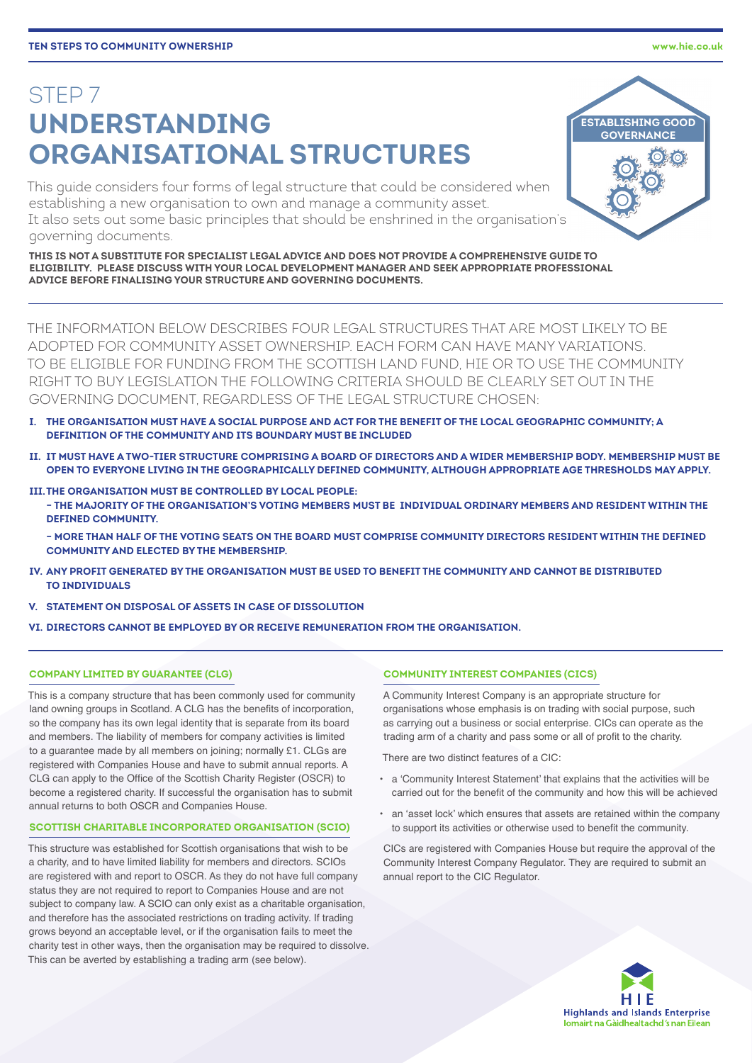# STEP 7 **UNDERSTANDING ORGANISATIONAL STRUCTURES**

This guide considers four forms of legal structure that could be considered when establishing a new organisation to own and manage a community asset. It also sets out some basic principles that should be enshrined in the organisation's governing documents.

**THIS IS NOT A SUBSTITUTE FOR SPECIALIST LEGAL ADVICE AND DOES NOT PROVIDE A COMPREHENSIVE GUIDE TO ELIGIBILITY. PLEASE DISCUSS WITH YOUR LOCAL DEVELOPMENT MANAGER AND SEEK APPROPRIATE PROFESSIONAL ADVICE BEFORE FINALISING YOUR STRUCTURE AND GOVERNING DOCUMENTS.**

THE INFORMATION BELOW DESCRIBES FOUR LEGAL STRUCTURES THAT ARE MOST LIKELY TO BE ADOPTED FOR COMMUNITY ASSET OWNERSHIP. EACH FORM CAN HAVE MANY VARIATIONS. TO BE ELIGIBLE FOR FUNDING FROM THE SCOTTISH LAND FUND, HIE OR TO USE THE COMMUNITY RIGHT TO BUY LEGISLATION THE FOLLOWING CRITERIA SHOULD BE CLEARLY SET OUT IN THE GOVERNING DOCUMENT, REGARDLESS OF THE LEGAL STRUCTURE CHOSEN:

- **I. THE ORGANISATION MUST HAVE A SOCIAL PURPOSE AND ACT FOR THE BENEFIT OF THE LOCAL GEOGRAPHIC COMMUNITY; A DEFINITION OF THE COMMUNITY AND ITS BOUNDARY MUST BE INCLUDED**
- **II. IT MUST HAVE A TWO-TIER STRUCTURE COMPRISING A BOARD OF DIRECTORS AND A WIDER MEMBERSHIP BODY. MEMBERSHIP MUST BE OPEN TO EVERYONE LIVING IN THE GEOGRAPHICALLY DEFINED COMMUNITY, ALTHOUGH APPROPRIATE AGE THRESHOLDS MAY APPLY.**
- **III.THE ORGANISATION MUST BE CONTROLLED BY LOCAL PEOPLE: − THE MAJORITY OF THE ORGANISATION'S VOTING MEMBERS MUST BE INDIVIDUAL ORDINARY MEMBERS AND RESIDENT WITHIN THE DEFINED COMMUNITY.**

**− MORE THAN HALF OF THE VOTING SEATS ON THE BOARD MUST COMPRISE COMMUNITY DIRECTORS RESIDENT WITHIN THE DEFINED COMMUNITY AND ELECTED BY THE MEMBERSHIP.**

- **IV. ANY PROFIT GENERATED BY THE ORGANISATION MUST BE USED TO BENEFIT THE COMMUNITY AND CANNOT BE DISTRIBUTED TO INDIVIDUALS**
- **V. STATEMENT ON DISPOSAL OF ASSETS IN CASE OF DISSOLUTION**
- **VI. DIRECTORS CANNOT BE EMPLOYED BY OR RECEIVE REMUNERATION FROM THE ORGANISATION.**

## **COMPANY LIMITED BY GUARANTEE (CLG)**

This is a company structure that has been commonly used for community land owning groups in Scotland. A CLG has the benefits of incorporation, so the company has its own legal identity that is separate from its board and members. The liability of members for company activities is limited to a guarantee made by all members on joining; normally £1. CLGs are registered with Companies House and have to submit annual reports. A CLG can apply to the Office of the Scottish Charity Register (OSCR) to become a registered charity. If successful the organisation has to submit annual returns to both OSCR and Companies House.

## **SCOTTISH CHARITABLE INCORPORATED ORGANISATION (SCIO)**

This structure was established for Scottish organisations that wish to be a charity, and to have limited liability for members and directors. SCIOs are registered with and report to OSCR. As they do not have full company status they are not required to report to Companies House and are not subject to company law. A SCIO can only exist as a charitable organisation, and therefore has the associated restrictions on trading activity. If trading grows beyond an acceptable level, or if the organisation fails to meet the charity test in other ways, then the organisation may be required to dissolve. This can be averted by establishing a trading arm (see below).

#### **COMMUNITY INTEREST COMPANIES (CICS)**

A Community Interest Company is an appropriate structure for organisations whose emphasis is on trading with social purpose, such as carrying out a business or social enterprise. CICs can operate as the trading arm of a charity and pass some or all of profit to the charity.

There are two distinct features of a CIC:

- a 'Community Interest Statement' that explains that the activities will be carried out for the benefit of the community and how this will be achieved
- an 'asset lock' which ensures that assets are retained within the company to support its activities or otherwise used to benefit the community.

CICs are registered with Companies House but require the approval of the Community Interest Company Regulator. They are required to submit an annual report to the CIC Regulator.





i, È